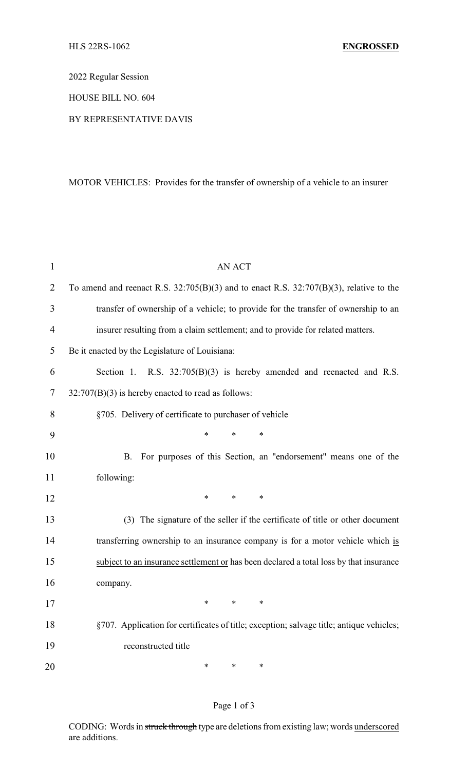2022 Regular Session

HOUSE BILL NO. 604

BY REPRESENTATIVE DAVIS

MOTOR VEHICLES: Provides for the transfer of ownership of a vehicle to an insurer

| $\mathbf{1}$   | <b>AN ACT</b>                                                                               |
|----------------|---------------------------------------------------------------------------------------------|
| $\overline{2}$ | To amend and reenact R.S. $32:705(B)(3)$ and to enact R.S. $32:707(B)(3)$ , relative to the |
| 3              | transfer of ownership of a vehicle; to provide for the transfer of ownership to an          |
| $\overline{4}$ | insurer resulting from a claim settlement; and to provide for related matters.              |
| 5              | Be it enacted by the Legislature of Louisiana:                                              |
| 6              | Section 1. R.S. $32:705(B)(3)$ is hereby amended and reenacted and R.S.                     |
| 7              | 32:707(B)(3) is hereby enacted to read as follows:                                          |
| 8              | §705. Delivery of certificate to purchaser of vehicle                                       |
| 9              | $\ast$<br>$\ast$<br>∗                                                                       |
| 10             | For purposes of this Section, an "endorsement" means one of the<br>B.                       |
| 11             | following:                                                                                  |
| 12             | $\ast$<br>$\ast$<br>*                                                                       |
| 13             | (3) The signature of the seller if the certificate of title or other document               |
| 14             | transferring ownership to an insurance company is for a motor vehicle which is              |
| 15             | subject to an insurance settlement or has been declared a total loss by that insurance      |
| 16             | company.                                                                                    |
| 17             |                                                                                             |
| 18             | §707. Application for certificates of title; exception; salvage title; antique vehicles;    |
| 19             | reconstructed title                                                                         |
| 20             | ∗<br>∗<br>∗                                                                                 |

## Page 1 of 3

CODING: Words in struck through type are deletions from existing law; words underscored are additions.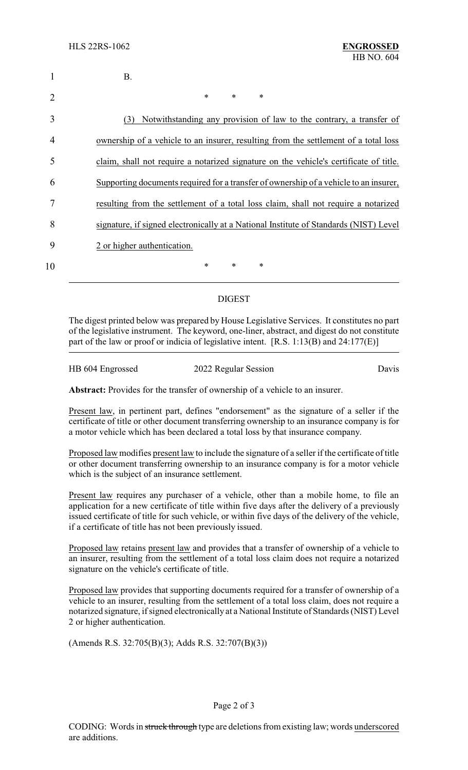| 1  | <b>B.</b>                                                                             |
|----|---------------------------------------------------------------------------------------|
|    | $\ast$<br>$\ast$<br>$\ast$                                                            |
| 3  | Notwithstanding any provision of law to the contrary, a transfer of<br>(3)            |
| 4  | ownership of a vehicle to an insurer, resulting from the settlement of a total loss   |
| 5  | claim, shall not require a notarized signature on the vehicle's certificate of title. |
| 6  | Supporting documents required for a transfer of ownership of a vehicle to an insurer, |
|    | resulting from the settlement of a total loss claim, shall not require a notarized    |
| 8  | signature, if signed electronically at a National Institute of Standards (NIST) Level |
| 9  | 2 or higher authentication.                                                           |
| 10 | *<br>∗<br>∗                                                                           |

## DIGEST

The digest printed below was prepared by House Legislative Services. It constitutes no part of the legislative instrument. The keyword, one-liner, abstract, and digest do not constitute part of the law or proof or indicia of legislative intent. [R.S. 1:13(B) and 24:177(E)]

HB 604 Engrossed 2022 Regular Session Davis

**Abstract:** Provides for the transfer of ownership of a vehicle to an insurer.

Present law, in pertinent part, defines "endorsement" as the signature of a seller if the certificate of title or other document transferring ownership to an insurance company is for a motor vehicle which has been declared a total loss by that insurance company.

Proposed law modifies present law to include the signature of a seller if the certificate of title or other document transferring ownership to an insurance company is for a motor vehicle which is the subject of an insurance settlement.

Present law requires any purchaser of a vehicle, other than a mobile home, to file an application for a new certificate of title within five days after the delivery of a previously issued certificate of title for such vehicle, or within five days of the delivery of the vehicle, if a certificate of title has not been previously issued.

Proposed law retains present law and provides that a transfer of ownership of a vehicle to an insurer, resulting from the settlement of a total loss claim does not require a notarized signature on the vehicle's certificate of title.

Proposed law provides that supporting documents required for a transfer of ownership of a vehicle to an insurer, resulting from the settlement of a total loss claim, does not require a notarized signature, if signed electronically at a National Institute of Standards (NIST) Level 2 or higher authentication.

(Amends R.S. 32:705(B)(3); Adds R.S. 32:707(B)(3))